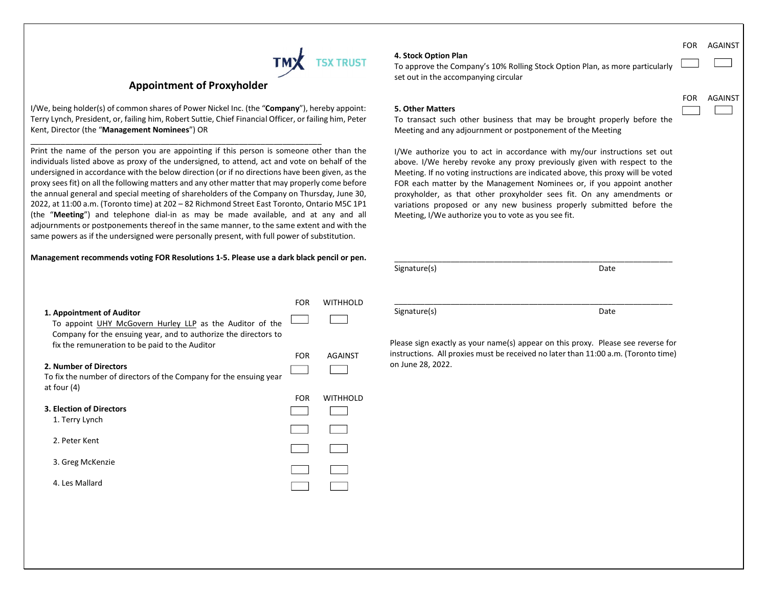# **SX TRUST**

# Appointment of Proxyholder

I/We, being holder(s) of common shares of Power Nickel Inc. (the "Company"), hereby appoint: Terry Lynch, President, or, failing him, Robert Suttie, Chief Financial Officer, or failing him, Peter Kent, Director (the "Management Nominees") OR

\_\_\_\_\_\_\_\_\_\_\_\_\_\_\_\_\_\_\_\_\_\_\_\_\_\_\_\_\_\_\_\_\_\_\_\_\_\_\_\_\_\_\_\_\_\_\_\_\_\_\_\_\_\_\_\_\_\_\_\_\_\_\_\_\_\_\_

Print the name of the person you are appointing if this person is someone other than the individuals listed above as proxy of the undersigned, to attend, act and vote on behalf of the undersigned in accordance with the below direction (or if no directions have been given, as the proxy sees fit) on all the following matters and any other matter that may properly come before the annual general and special meeting of shareholders of the Company on Thursday, June 30, 2022, at 11:00 a.m. (Toronto time) at 202 – 82 Richmond Street East Toronto, Ontario M5C 1P1 (the "Meeting") and telephone dial-in as may be made available, and at any and all adjournments or postponements thereof in the same manner, to the same extent and with the same powers as if the undersigned were personally present, with full power of substitution.

# Management recommends voting FOR Resolutions 1-5. Please use a dark black pencil or pen.

|                                                                                                                   | <b>FOR</b> | WITHHOLD        |
|-------------------------------------------------------------------------------------------------------------------|------------|-----------------|
| 1. Appointment of Auditor                                                                                         |            |                 |
| To appoint UHY McGovern Hurley LLP as the Auditor of the                                                          |            |                 |
| Company for the ensuing year, and to authorize the directors to<br>fix the remuneration to be paid to the Auditor |            |                 |
|                                                                                                                   | <b>FOR</b> | AGAINST         |
| 2. Number of Directors                                                                                            |            |                 |
| To fix the number of directors of the Company for the ensuing year                                                |            |                 |
| at four (4)                                                                                                       |            |                 |
|                                                                                                                   | <b>FOR</b> | <b>WITHHOLD</b> |
| <b>3. Election of Directors</b>                                                                                   |            |                 |
| 1. Terry Lynch                                                                                                    |            |                 |
| 2. Peter Kent                                                                                                     |            |                 |
|                                                                                                                   |            |                 |
| 3. Greg McKenzie                                                                                                  |            |                 |
|                                                                                                                   |            |                 |
| 4. Les Mallard                                                                                                    |            |                 |
|                                                                                                                   |            |                 |

# 4. Stock Option Plan

To approve the Company's 10% Rolling Stock Option Plan, as more particularly set out in the accompanying circular

#### 5. Other Matters

To transact such other business that may be brought properly before the Meeting and any adjournment or postponement of the Meeting

I/We authorize you to act in accordance with my/our instructions set out above. I/We hereby revoke any proxy previously given with respect to the Meeting. If no voting instructions are indicated above, this proxy will be voted FOR each matter by the Management Nominees or, if you appoint another proxyholder, as that other proxyholder sees fit. On any amendments or variations proposed or any new business properly submitted before the Meeting, I/We authorize you to vote as you see fit.

\_\_\_\_\_\_\_\_\_\_\_\_\_\_\_\_\_\_\_\_\_\_\_\_\_\_\_\_\_\_\_\_\_\_\_\_\_\_\_\_\_\_\_\_\_\_\_\_\_\_\_\_\_\_\_\_\_\_\_\_\_\_\_\_

\_\_\_\_\_\_\_\_\_\_\_\_\_\_\_\_\_\_\_\_\_\_\_\_\_\_\_\_\_\_\_\_\_\_\_\_\_\_\_\_\_\_\_\_\_\_\_\_\_\_\_\_\_\_\_\_\_\_\_\_\_\_\_\_

| Signature(s) | Date |
|--------------|------|
|              |      |

FOR AGAINST

FOR AGAINST

L

Ī

Signature(s) Date

Please sign exactly as your name(s) appear on this proxy. Please see reverse for instructions. All proxies must be received no later than 11:00 a.m. (Toronto time) on June 28, 2022.